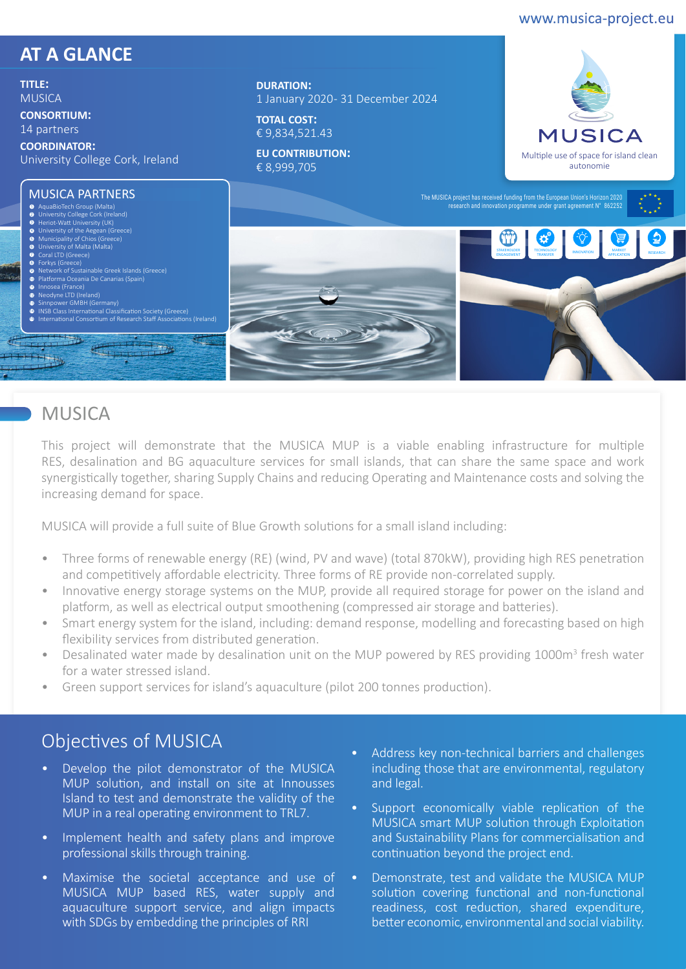#### www.musica-project.eu

#### **AT A GLANCE**

**TITLE:**  MUSICA

**CONSORTIUM:** 

14 partners

**COORDINATOR:**  University College Cork, Ireland

# MUSICA PARTNERS 1 2 3 4 5

**DURATION:**  1 January 2020 - 31 December 2024

**TOTAL COST:**  € 9,834,521.43

**EU CONTRIBUTION:**  € 8,999,705





#### **MUSICA**

This project will demonstrate that the MUSICA MUP is a viable enabling infrastructure for multiple RES, desalination and BG aquaculture services for small islands, that can share the same space and work synergistically together, sharing Supply Chains and reducing Operating and Maintenance costs and solving the increasing demand for space.

MUSICA will provide a full suite of Blue Growth solutions for a small island including:

- Three forms of renewable energy (RE) (wind, PV and wave) (total 870kW), providing high RES penetration and competitively affordable electricity. Three forms of RE provide non-correlated supply.
- Innovative energy storage systems on the MUP, provide all required storage for power on the island and platform, as well as electrical output smoothening (compressed air storage and batteries).
- Smart energy system for the island, including: demand response, modelling and forecasting based on high flexibility services from distributed generation.
- Desalinated water made by desalination unit on the MUP powered by RES providing 1000m<sup>3</sup> fresh water for a water stressed island.
- Green support services for island's aquaculture (pilot 200 tonnes production).

### Objectives of MUSICA

- Develop the pilot demonstrator of the MUSICA MUP solution, and install on site at Innousses Island to test and demonstrate the validity of the MUP in a real operating environment to TRL7.
- Implement health and safety plans and improve professional skills through training.
- Maximise the societal acceptance and use of MUSICA MUP based RES, water supply and aquaculture support service, and align impacts with SDGs by embedding the principles of RRI
- Address key non-technical barriers and challenges including those that are environmental, regulatory and legal.
- Support economically viable replication of the MUSICA smart MUP solution through Exploitation and Sustainability Plans for commercialisation and continuation beyond the project end.
- Demonstrate, test and validate the MUSICA MUP solution covering functional and non-functional readiness, cost reduction, shared expenditure, better economic, environmental and social viability.